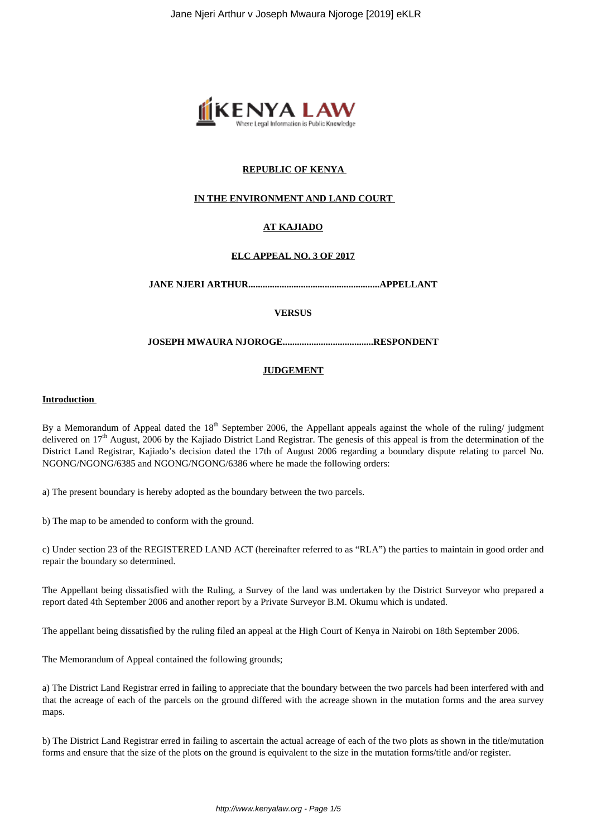

# **REPUBLIC OF KENYA**

## **IN THE ENVIRONMENT AND LAND COURT**

# **AT KAJIADO**

## **ELC APPEAL NO. 3 OF 2017**

**JANE NJERI ARTHUR.......................................................APPELLANT**

## **VERSUS**

#### **JOSEPH MWAURA NJOROGE......................................RESPONDENT**

### **JUDGEMENT**

#### **Introduction**

By a Memorandum of Appeal dated the 18<sup>th</sup> September 2006, the Appellant appeals against the whole of the ruling/ judgment delivered on 17<sup>th</sup> August, 2006 by the Kajiado District Land Registrar. The genesis of this appeal is from the determination of the District Land Registrar, Kajiado's decision dated the 17th of August 2006 regarding a boundary dispute relating to parcel No. NGONG/NGONG/6385 and NGONG/NGONG/6386 where he made the following orders:

a) The present boundary is hereby adopted as the boundary between the two parcels.

b) The map to be amended to conform with the ground.

c) Under section 23 of the REGISTERED LAND ACT (hereinafter referred to as "RLA") the parties to maintain in good order and repair the boundary so determined.

The Appellant being dissatisfied with the Ruling, a Survey of the land was undertaken by the District Surveyor who prepared a report dated 4th September 2006 and another report by a Private Surveyor B.M. Okumu which is undated.

The appellant being dissatisfied by the ruling filed an appeal at the High Court of Kenya in Nairobi on 18th September 2006.

The Memorandum of Appeal contained the following grounds;

a) The District Land Registrar erred in failing to appreciate that the boundary between the two parcels had been interfered with and that the acreage of each of the parcels on the ground differed with the acreage shown in the mutation forms and the area survey maps.

b) The District Land Registrar erred in failing to ascertain the actual acreage of each of the two plots as shown in the title/mutation forms and ensure that the size of the plots on the ground is equivalent to the size in the mutation forms/title and/or register.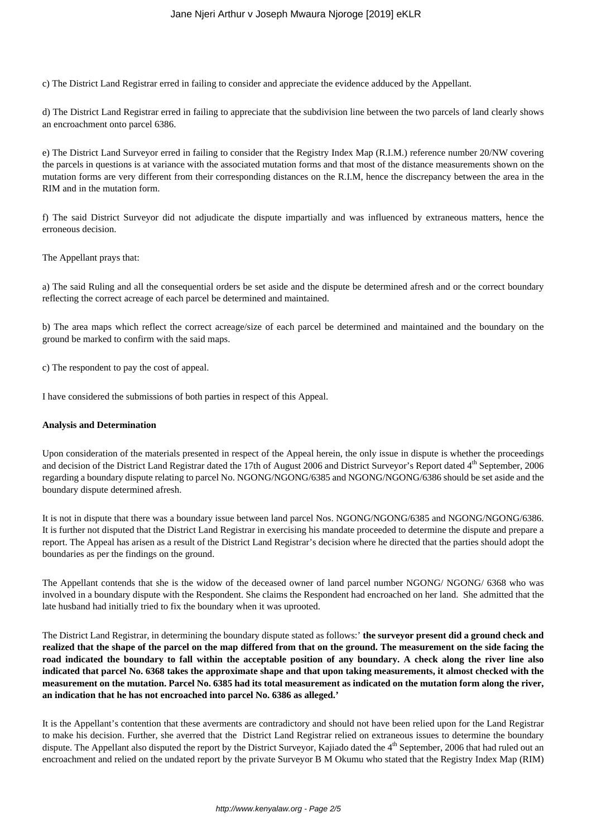c) The District Land Registrar erred in failing to consider and appreciate the evidence adduced by the Appellant.

d) The District Land Registrar erred in failing to appreciate that the subdivision line between the two parcels of land clearly shows an encroachment onto parcel 6386.

e) The District Land Surveyor erred in failing to consider that the Registry Index Map (R.I.M.) reference number 20/NW covering the parcels in questions is at variance with the associated mutation forms and that most of the distance measurements shown on the mutation forms are very different from their corresponding distances on the R.I.M, hence the discrepancy between the area in the RIM and in the mutation form.

f) The said District Surveyor did not adjudicate the dispute impartially and was influenced by extraneous matters, hence the erroneous decision.

The Appellant prays that:

a) The said Ruling and all the consequential orders be set aside and the dispute be determined afresh and or the correct boundary reflecting the correct acreage of each parcel be determined and maintained.

b) The area maps which reflect the correct acreage/size of each parcel be determined and maintained and the boundary on the ground be marked to confirm with the said maps.

c) The respondent to pay the cost of appeal.

I have considered the submissions of both parties in respect of this Appeal.

#### **Analysis and Determination**

Upon consideration of the materials presented in respect of the Appeal herein, the only issue in dispute is whether the proceedings and decision of the District Land Registrar dated the 17th of August 2006 and District Surveyor's Report dated 4<sup>th</sup> September, 2006 regarding a boundary dispute relating to parcel No. NGONG/NGONG/6385 and NGONG/NGONG/6386 should be set aside and the boundary dispute determined afresh.

It is not in dispute that there was a boundary issue between land parcel Nos. NGONG/NGONG/6385 and NGONG/NGONG/6386. It is further not disputed that the District Land Registrar in exercising his mandate proceeded to determine the dispute and prepare a report. The Appeal has arisen as a result of the District Land Registrar's decision where he directed that the parties should adopt the boundaries as per the findings on the ground.

The Appellant contends that she is the widow of the deceased owner of land parcel number NGONG/ NGONG/ 6368 who was involved in a boundary dispute with the Respondent. She claims the Respondent had encroached on her land. She admitted that the late husband had initially tried to fix the boundary when it was uprooted.

The District Land Registrar, in determining the boundary dispute stated as follows:' **the surveyor present did a ground check and realized that the shape of the parcel on the map differed from that on the ground. The measurement on the side facing the road indicated the boundary to fall within the acceptable position of any boundary. A check along the river line also indicated that parcel No. 6368 takes the approximate shape and that upon taking measurements, it almost checked with the measurement on the mutation. Parcel No. 6385 had its total measurement as indicated on the mutation form along the river, an indication that he has not encroached into parcel No. 6386 as alleged.'**

It is the Appellant's contention that these averments are contradictory and should not have been relied upon for the Land Registrar to make his decision. Further, she averred that the District Land Registrar relied on extraneous issues to determine the boundary dispute. The Appellant also disputed the report by the District Surveyor, Kajiado dated the 4<sup>th</sup> September, 2006 that had ruled out an encroachment and relied on the undated report by the private Surveyor B M Okumu who stated that the Registry Index Map (RIM)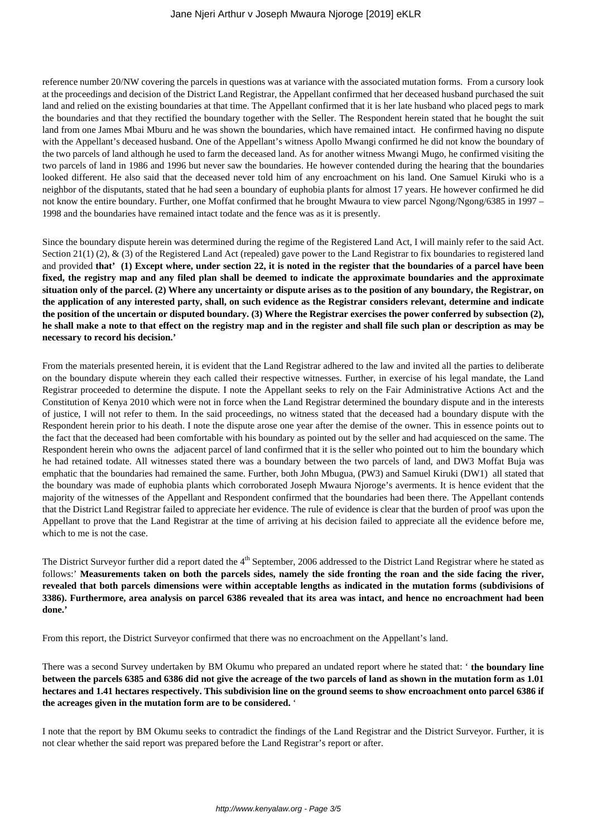reference number 20/NW covering the parcels in questions was at variance with the associated mutation forms. From a cursory look at the proceedings and decision of the District Land Registrar, the Appellant confirmed that her deceased husband purchased the suit land and relied on the existing boundaries at that time. The Appellant confirmed that it is her late husband who placed pegs to mark the boundaries and that they rectified the boundary together with the Seller. The Respondent herein stated that he bought the suit land from one James Mbai Mburu and he was shown the boundaries, which have remained intact. He confirmed having no dispute with the Appellant's deceased husband. One of the Appellant's witness Apollo Mwangi confirmed he did not know the boundary of the two parcels of land although he used to farm the deceased land. As for another witness Mwangi Mugo, he confirmed visiting the two parcels of land in 1986 and 1996 but never saw the boundaries. He however contended during the hearing that the boundaries looked different. He also said that the deceased never told him of any encroachment on his land. One Samuel Kiruki who is a neighbor of the disputants, stated that he had seen a boundary of euphobia plants for almost 17 years. He however confirmed he did not know the entire boundary. Further, one Moffat confirmed that he brought Mwaura to view parcel Ngong/Ngong/6385 in 1997 – 1998 and the boundaries have remained intact todate and the fence was as it is presently.

Since the boundary dispute herein was determined during the regime of the Registered Land Act, I will mainly refer to the said Act. Section 21(1) (2),  $\&$  (3) of the Registered Land Act (repealed) gave power to the Land Registrar to fix boundaries to registered land and provided **that' (1) Except where, under section 22, it is noted in the register that the boundaries of a parcel have been fixed, the registry map and any filed plan shall be deemed to indicate the approximate boundaries and the approximate situation only of the parcel. (2) Where any uncertainty or dispute arises as to the position of any boundary, the Registrar, on the application of any interested party, shall, on such evidence as the Registrar considers relevant, determine and indicate the position of the uncertain or disputed boundary. (3) Where the Registrar exercises the power conferred by subsection (2), he shall make a note to that effect on the registry map and in the register and shall file such plan or description as may be necessary to record his decision.'**

From the materials presented herein, it is evident that the Land Registrar adhered to the law and invited all the parties to deliberate on the boundary dispute wherein they each called their respective witnesses. Further, in exercise of his legal mandate, the Land Registrar proceeded to determine the dispute. I note the Appellant seeks to rely on the Fair Administrative Actions Act and the Constitution of Kenya 2010 which were not in force when the Land Registrar determined the boundary dispute and in the interests of justice, I will not refer to them. In the said proceedings, no witness stated that the deceased had a boundary dispute with the Respondent herein prior to his death. I note the dispute arose one year after the demise of the owner. This in essence points out to the fact that the deceased had been comfortable with his boundary as pointed out by the seller and had acquiesced on the same. The Respondent herein who owns the adjacent parcel of land confirmed that it is the seller who pointed out to him the boundary which he had retained todate. All witnesses stated there was a boundary between the two parcels of land, and DW3 Moffat Buja was emphatic that the boundaries had remained the same. Further, both John Mbugua, (PW3) and Samuel Kiruki (DW1) all stated that the boundary was made of euphobia plants which corroborated Joseph Mwaura Njoroge's averments. It is hence evident that the majority of the witnesses of the Appellant and Respondent confirmed that the boundaries had been there. The Appellant contends that the District Land Registrar failed to appreciate her evidence. The rule of evidence is clear that the burden of proof was upon the Appellant to prove that the Land Registrar at the time of arriving at his decision failed to appreciate all the evidence before me, which to me is not the case.

The District Surveyor further did a report dated the 4<sup>th</sup> September, 2006 addressed to the District Land Registrar where he stated as follows:' **Measurements taken on both the parcels sides, namely the side fronting the roan and the side facing the river, revealed that both parcels dimensions were within acceptable lengths as indicated in the mutation forms (subdivisions of 3386). Furthermore, area analysis on parcel 6386 revealed that its area was intact, and hence no encroachment had been done.'** 

From this report, the District Surveyor confirmed that there was no encroachment on the Appellant's land.

There was a second Survey undertaken by BM Okumu who prepared an undated report where he stated that: ' **the boundary line between the parcels 6385 and 6386 did not give the acreage of the two parcels of land as shown in the mutation form as 1.01 hectares and 1.41 hectares respectively. This subdivision line on the ground seems to show encroachment onto parcel 6386 if the acreages given in the mutation form are to be considered.** '

I note that the report by BM Okumu seeks to contradict the findings of the Land Registrar and the District Surveyor. Further, it is not clear whether the said report was prepared before the Land Registrar's report or after.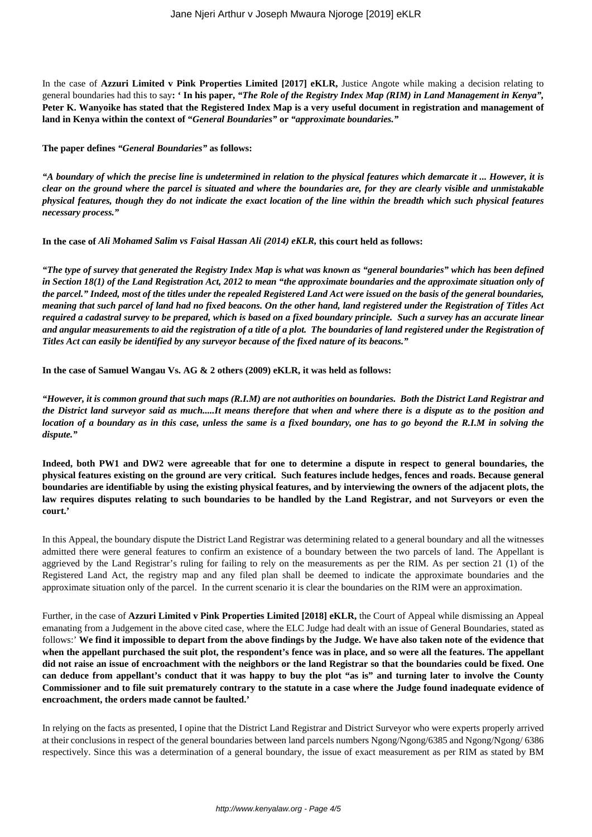In the case of **Azzuri Limited v Pink Properties Limited [2017] eKLR,** Justice Angote while making a decision relating to general boundaries had this to say**: ' In his paper,** *"The Role of the Registry Index Map (RIM) in Land Management in Kenya",* **Peter K. Wanyoike has stated that the Registered Index Map is a very useful document in registration and management of land in Kenya within the context of "***General Boundaries"* **or** *"approximate boundaries."*

**The paper defines** *"General Boundaries"* **as follows:**

*"A boundary of which the precise line is undetermined in relation to the physical features which demarcate it ... However, it is clear on the ground where the parcel is situated and where the boundaries are, for they are clearly visible and unmistakable physical features, though they do not indicate the exact location of the line within the breadth which such physical features necessary process."*

**In the case of** *Ali Mohamed Salim vs Faisal Hassan Ali (2014) eKLR,* **this court held as follows:**

*"The type of survey that generated the Registry Index Map is what was known as "general boundaries" which has been defined in Section 18(1) of the Land Registration Act, 2012 to mean "the approximate boundaries and the approximate situation only of the parcel." Indeed, most of the titles under the repealed Registered Land Act were issued on the basis of the general boundaries, meaning that such parcel of land had no fixed beacons. On the other hand, land registered under the Registration of Titles Act required a cadastral survey to be prepared, which is based on a fixed boundary principle. Such a survey has an accurate linear and angular measurements to aid the registration of a title of a plot. The boundaries of land registered under the Registration of Titles Act can easily be identified by any surveyor because of the fixed nature of its beacons."*

**In the case of Samuel Wangau Vs. AG & 2 others (2009) eKLR, it was held as follows:**

*"However, it is common ground that such maps (R.I.M) are not authorities on boundaries. Both the District Land Registrar and the District land surveyor said as much.....It means therefore that when and where there is a dispute as to the position and location of a boundary as in this case, unless the same is a fixed boundary, one has to go beyond the R.I.M in solving the dispute."*

**Indeed, both PW1 and DW2 were agreeable that for one to determine a dispute in respect to general boundaries, the physical features existing on the ground are very critical. Such features include hedges, fences and roads. Because general boundaries are identifiable by using the existing physical features, and by interviewing the owners of the adjacent plots, the law requires disputes relating to such boundaries to be handled by the Land Registrar, and not Surveyors or even the court.'**

In this Appeal, the boundary dispute the District Land Registrar was determining related to a general boundary and all the witnesses admitted there were general features to confirm an existence of a boundary between the two parcels of land. The Appellant is aggrieved by the Land Registrar's ruling for failing to rely on the measurements as per the RIM. As per section 21 (1) of the Registered Land Act, the registry map and any filed plan shall be deemed to indicate the approximate boundaries and the approximate situation only of the parcel. In the current scenario it is clear the boundaries on the RIM were an approximation.

Further, in the case of **Azzuri Limited v Pink Properties Limited [2018] eKLR,** the Court of Appeal while dismissing an Appeal emanating from a Judgement in the above cited case, where the ELC Judge had dealt with an issue of General Boundaries, stated as follows:' **We find it impossible to depart from the above findings by the Judge. We have also taken note of the evidence that when the appellant purchased the suit plot, the respondent's fence was in place, and so were all the features. The appellant did not raise an issue of encroachment with the neighbors or the land Registrar so that the boundaries could be fixed. One can deduce from appellant's conduct that it was happy to buy the plot "as is" and turning later to involve the County Commissioner and to file suit prematurely contrary to the statute in a case where the Judge found inadequate evidence of encroachment, the orders made cannot be faulted.'**

In relying on the facts as presented, I opine that the District Land Registrar and District Surveyor who were experts properly arrived at their conclusions in respect of the general boundaries between land parcels numbers Ngong/Ngong/6385 and Ngong/Ngong/ 6386 respectively. Since this was a determination of a general boundary, the issue of exact measurement as per RIM as stated by BM